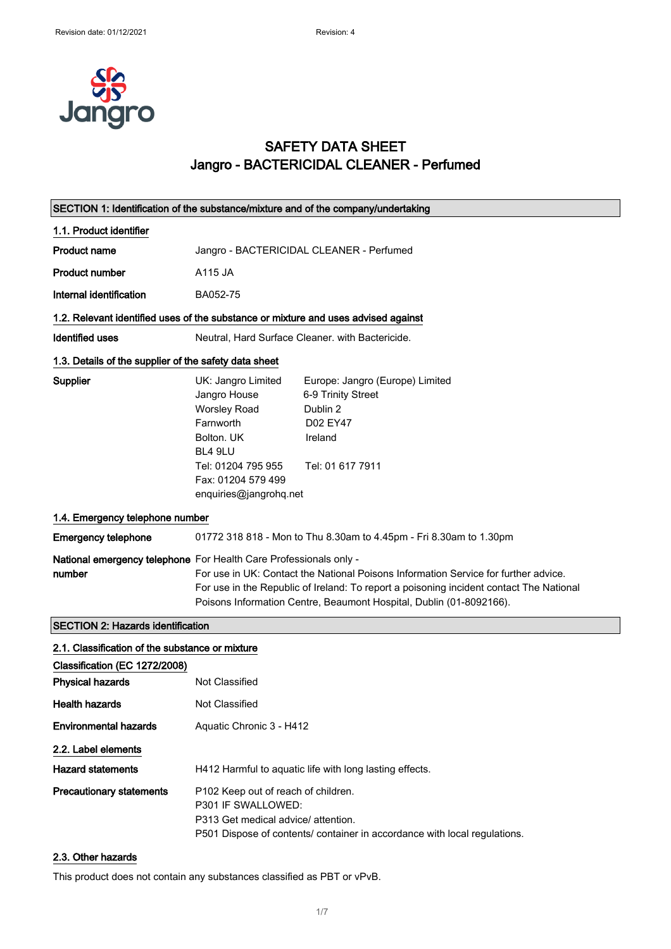

# SAFETY DATA SHEET Jangro - BACTERICIDAL CLEANER - Perfumed

| SECTION 1: Identification of the substance/mixture and of the company/undertaking  |                                                                                                                                                                       |                                                                                                                                                                                                                                                       |
|------------------------------------------------------------------------------------|-----------------------------------------------------------------------------------------------------------------------------------------------------------------------|-------------------------------------------------------------------------------------------------------------------------------------------------------------------------------------------------------------------------------------------------------|
| 1.1. Product identifier                                                            |                                                                                                                                                                       |                                                                                                                                                                                                                                                       |
| <b>Product name</b>                                                                | Jangro - BACTERICIDAL CLEANER - Perfumed                                                                                                                              |                                                                                                                                                                                                                                                       |
| <b>Product number</b>                                                              | A115 JA                                                                                                                                                               |                                                                                                                                                                                                                                                       |
| Internal identification                                                            | BA052-75                                                                                                                                                              |                                                                                                                                                                                                                                                       |
| 1.2. Relevant identified uses of the substance or mixture and uses advised against |                                                                                                                                                                       |                                                                                                                                                                                                                                                       |
| Identified uses                                                                    |                                                                                                                                                                       | Neutral, Hard Surface Cleaner, with Bactericide.                                                                                                                                                                                                      |
| 1.3. Details of the supplier of the safety data sheet                              |                                                                                                                                                                       |                                                                                                                                                                                                                                                       |
| Supplier                                                                           | UK: Jangro Limited<br>Jangro House<br><b>Worsley Road</b><br>Farnworth<br>Bolton, UK<br>BL4 9LU<br>Tel: 01204 795 955<br>Fax: 01204 579 499<br>enquiries@jangrohq.net | Europe: Jangro (Europe) Limited<br>6-9 Trinity Street<br>Dublin 2<br>D02 EY47<br>Ireland<br>Tel: 01 617 7911                                                                                                                                          |
| 1.4. Emergency telephone number                                                    |                                                                                                                                                                       |                                                                                                                                                                                                                                                       |
| <b>Emergency telephone</b>                                                         |                                                                                                                                                                       | 01772 318 818 - Mon to Thu 8.30am to 4.45pm - Fri 8.30am to 1.30pm                                                                                                                                                                                    |
| National emergency telephone For Health Care Professionals only -<br>number        |                                                                                                                                                                       | For use in UK: Contact the National Poisons Information Service for further advice.<br>For use in the Republic of Ireland: To report a poisoning incident contact The National<br>Poisons Information Centre, Beaumont Hospital, Dublin (01-8092166). |
| <b>SECTION 2: Hazards identification</b>                                           |                                                                                                                                                                       |                                                                                                                                                                                                                                                       |
| 2.1. Classification of the substance or mixture                                    |                                                                                                                                                                       |                                                                                                                                                                                                                                                       |
| Classification (EC 1272/2008)                                                      |                                                                                                                                                                       |                                                                                                                                                                                                                                                       |
| <b>Physical hazards</b>                                                            | Not Classified                                                                                                                                                        |                                                                                                                                                                                                                                                       |
| <b>Health hazards</b>                                                              | Not Classified                                                                                                                                                        |                                                                                                                                                                                                                                                       |
| <b>Environmental hazards</b>                                                       | Aquatic Chronic 3 - H412                                                                                                                                              |                                                                                                                                                                                                                                                       |
| 2.2. Label elements                                                                |                                                                                                                                                                       |                                                                                                                                                                                                                                                       |
| <b>Hazard statements</b>                                                           |                                                                                                                                                                       | H412 Harmful to aquatic life with long lasting effects.                                                                                                                                                                                               |
| <b>Precautionary statements</b>                                                    | P102 Keep out of reach of children.<br>P301 IF SWALLOWED:<br>P313 Get medical advice/ attention.                                                                      | P501 Dispose of contents/ container in accordance with local regulations.                                                                                                                                                                             |

### 2.3. Other hazards

This product does not contain any substances classified as PBT or vPvB.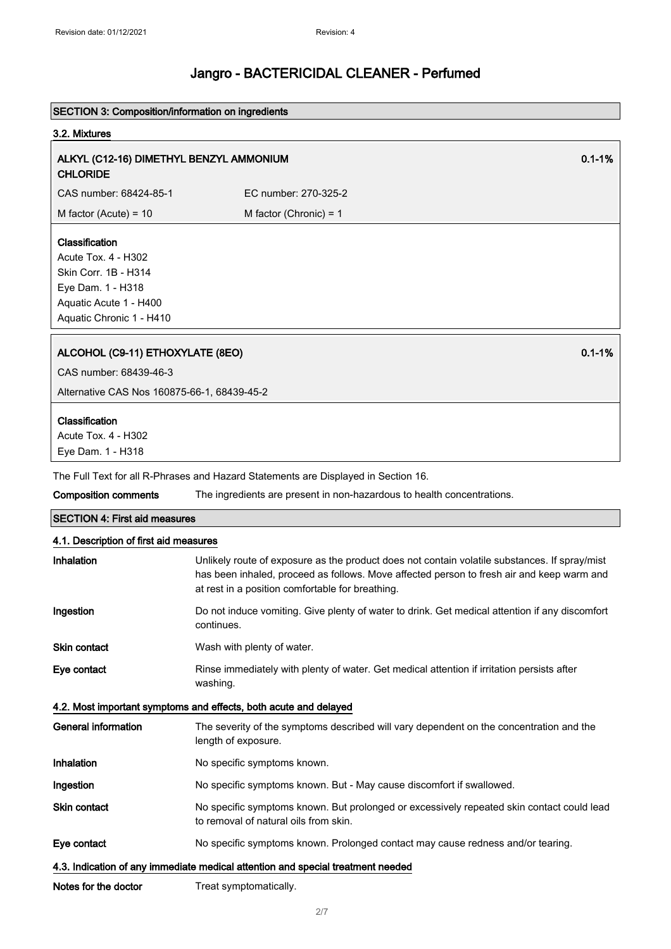### SECTION 3: Composition/information on ingredients

#### 3.2. Mixtures

## ALKYL (C12-16) DIMETHYL BENZYL AMMONIUM CHLORIDE

CAS number: 68424-85-1 EC number: 270-325-2  $M$  factor (Acute) = 10 M factor (Chronic) = 1

### Classification

Acute Tox. 4 - H302 Skin Corr. 1B - H314 Eye Dam. 1 - H318 Aquatic Acute 1 - H400 Aquatic Chronic 1 - H410

## ALCOHOL (C9-11) ETHOXYLATE (8EO) 0.1-1%

CAS number: 68439-46-3

Alternative CAS Nos 160875-66-1, 68439-45-2

#### Classification

Acute Tox. 4 - H302 Eye Dam. 1 - H318

The Full Text for all R-Phrases and Hazard Statements are Displayed in Section 16.

| Composition comments | The ingredients are present in non-hazardous to health concentrations. |
|----------------------|------------------------------------------------------------------------|
|----------------------|------------------------------------------------------------------------|

# SECTION 4: First aid measures 4.1. Description of first aid measures

| Inhalation          | Unlikely route of exposure as the product does not contain volatile substances. If spray/mist<br>has been inhaled, proceed as follows. Move affected person to fresh air and keep warm and<br>at rest in a position comfortable for breathing. |
|---------------------|------------------------------------------------------------------------------------------------------------------------------------------------------------------------------------------------------------------------------------------------|
| Ingestion           | Do not induce vomiting. Give plenty of water to drink. Get medical attention if any discomfort<br>continues.                                                                                                                                   |
| <b>Skin contact</b> | Wash with plenty of water.                                                                                                                                                                                                                     |
| Eye contact         | Rinse immediately with plenty of water. Get medical attention if irritation persists after<br>washing.                                                                                                                                         |
|                     | 4.2. Most important symptoms and effects, both acute and delayed                                                                                                                                                                               |
| General information | The severity of the symptoms described will vary dependent on the concentration and the<br>length of exposure.                                                                                                                                 |
| Inhalation          | No specific symptoms known.                                                                                                                                                                                                                    |
| Ingestion           | No specific symptoms known. But - May cause discomfort if swallowed.                                                                                                                                                                           |
| <b>Skin contact</b> | No specific symptoms known. But prolonged or excessively repeated skin contact could lead<br>to removal of natural oils from skin.                                                                                                             |
| Eye contact         | No specific symptoms known. Prolonged contact may cause redness and/or tearing.                                                                                                                                                                |

#### 4.3. Indication of any immediate medical attention and special treatment needed

Notes for the doctor Treat symptomatically.

0.1-1%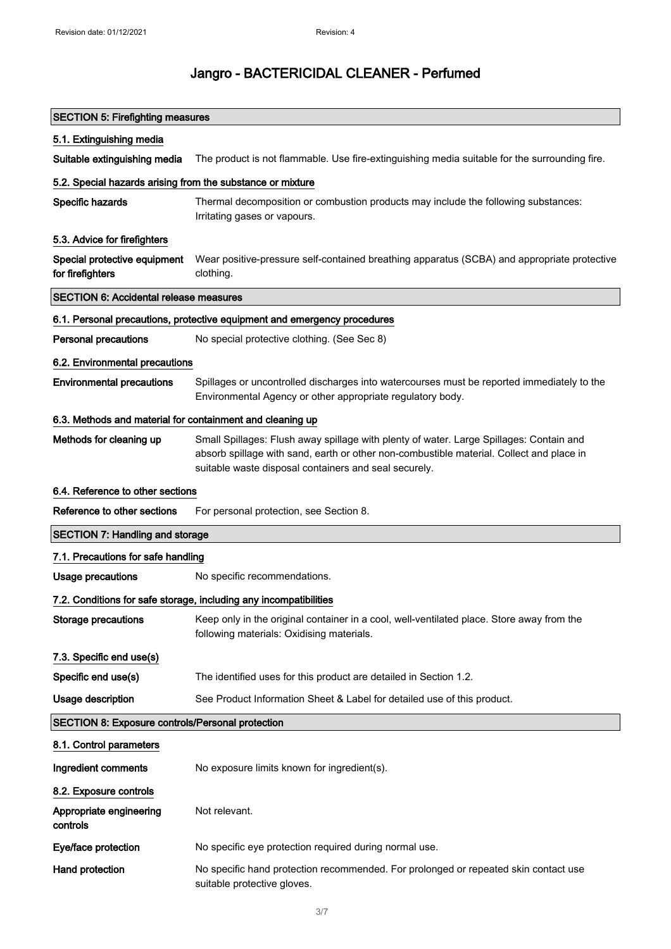| <b>SECTION 5: Firefighting measures</b>                    |                                                                                                                                                                                                                                              |
|------------------------------------------------------------|----------------------------------------------------------------------------------------------------------------------------------------------------------------------------------------------------------------------------------------------|
| 5.1. Extinguishing media                                   |                                                                                                                                                                                                                                              |
| Suitable extinguishing media                               | The product is not flammable. Use fire-extinguishing media suitable for the surrounding fire.                                                                                                                                                |
| 5.2. Special hazards arising from the substance or mixture |                                                                                                                                                                                                                                              |
| Specific hazards                                           | Thermal decomposition or combustion products may include the following substances:<br>Irritating gases or vapours.                                                                                                                           |
| 5.3. Advice for firefighters                               |                                                                                                                                                                                                                                              |
| Special protective equipment<br>for firefighters           | Wear positive-pressure self-contained breathing apparatus (SCBA) and appropriate protective<br>clothing.                                                                                                                                     |
| <b>SECTION 6: Accidental release measures</b>              |                                                                                                                                                                                                                                              |
|                                                            | 6.1. Personal precautions, protective equipment and emergency procedures                                                                                                                                                                     |
| <b>Personal precautions</b>                                | No special protective clothing. (See Sec 8)                                                                                                                                                                                                  |
| 6.2. Environmental precautions                             |                                                                                                                                                                                                                                              |
| <b>Environmental precautions</b>                           | Spillages or uncontrolled discharges into watercourses must be reported immediately to the<br>Environmental Agency or other appropriate regulatory body.                                                                                     |
| 6.3. Methods and material for containment and cleaning up  |                                                                                                                                                                                                                                              |
| Methods for cleaning up                                    | Small Spillages: Flush away spillage with plenty of water. Large Spillages: Contain and<br>absorb spillage with sand, earth or other non-combustible material. Collect and place in<br>suitable waste disposal containers and seal securely. |
| 6.4. Reference to other sections                           |                                                                                                                                                                                                                                              |
| Reference to other sections                                | For personal protection, see Section 8.                                                                                                                                                                                                      |
| <b>SECTION 7: Handling and storage</b>                     |                                                                                                                                                                                                                                              |
| 7.1. Precautions for safe handling                         |                                                                                                                                                                                                                                              |
| <b>Usage precautions</b>                                   | No specific recommendations.                                                                                                                                                                                                                 |
|                                                            | 7.2. Conditions for safe storage, including any incompatibilities                                                                                                                                                                            |
| <b>Storage precautions</b>                                 | Keep only in the original container in a cool, well-ventilated place. Store away from the<br>following materials: Oxidising materials.                                                                                                       |
| 7.3. Specific end use(s)                                   |                                                                                                                                                                                                                                              |
| Specific end use(s)                                        | The identified uses for this product are detailed in Section 1.2.                                                                                                                                                                            |
| <b>Usage description</b>                                   | See Product Information Sheet & Label for detailed use of this product.                                                                                                                                                                      |
| <b>SECTION 8: Exposure controls/Personal protection</b>    |                                                                                                                                                                                                                                              |
| 8.1. Control parameters                                    |                                                                                                                                                                                                                                              |
| Ingredient comments                                        | No exposure limits known for ingredient(s).                                                                                                                                                                                                  |
| 8.2. Exposure controls                                     |                                                                                                                                                                                                                                              |
| Appropriate engineering<br>controls                        | Not relevant.                                                                                                                                                                                                                                |
| Eye/face protection                                        | No specific eye protection required during normal use.                                                                                                                                                                                       |
| Hand protection                                            | No specific hand protection recommended. For prolonged or repeated skin contact use<br>suitable protective gloves.                                                                                                                           |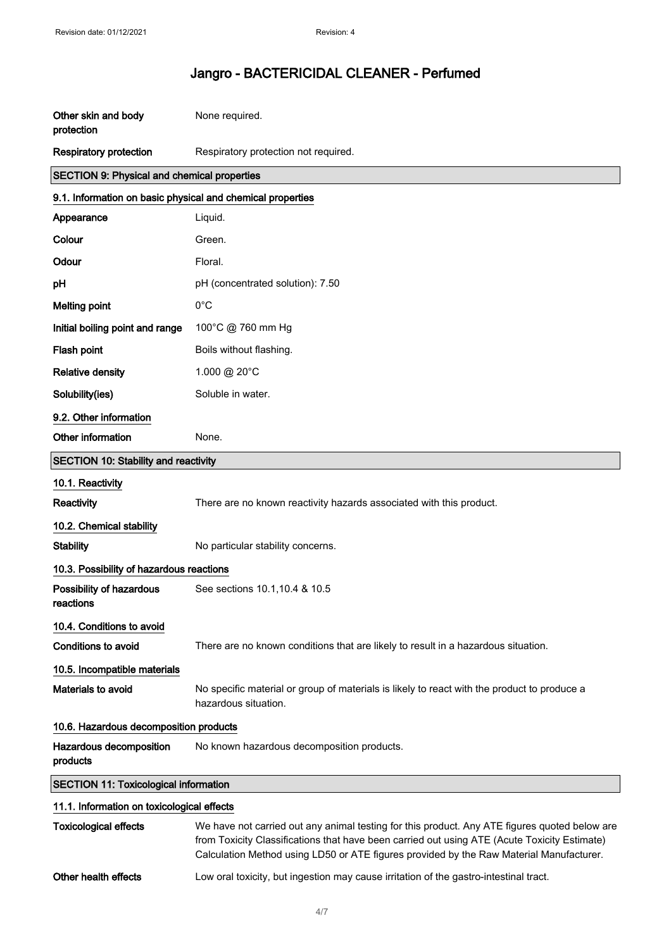| Other skin and body<br>protection                          | None required.                                                                                                                                                                                                                                                                           |
|------------------------------------------------------------|------------------------------------------------------------------------------------------------------------------------------------------------------------------------------------------------------------------------------------------------------------------------------------------|
| <b>Respiratory protection</b>                              | Respiratory protection not required.                                                                                                                                                                                                                                                     |
| <b>SECTION 9: Physical and chemical properties</b>         |                                                                                                                                                                                                                                                                                          |
| 9.1. Information on basic physical and chemical properties |                                                                                                                                                                                                                                                                                          |
| Appearance                                                 | Liquid.                                                                                                                                                                                                                                                                                  |
| Colour                                                     | Green.                                                                                                                                                                                                                                                                                   |
| Odour                                                      | Floral.                                                                                                                                                                                                                                                                                  |
| pH                                                         | pH (concentrated solution): 7.50                                                                                                                                                                                                                                                         |
| <b>Melting point</b>                                       | $0^{\circ}$ C                                                                                                                                                                                                                                                                            |
| Initial boiling point and range                            | 100°C @ 760 mm Hg                                                                                                                                                                                                                                                                        |
| Flash point                                                | Boils without flashing.                                                                                                                                                                                                                                                                  |
| <b>Relative density</b>                                    | 1.000 @ 20°C                                                                                                                                                                                                                                                                             |
| Solubility(ies)                                            | Soluble in water.                                                                                                                                                                                                                                                                        |
| 9.2. Other information                                     |                                                                                                                                                                                                                                                                                          |
| Other information                                          | None.                                                                                                                                                                                                                                                                                    |
| SECTION 10: Stability and reactivity                       |                                                                                                                                                                                                                                                                                          |
| 10.1. Reactivity                                           |                                                                                                                                                                                                                                                                                          |
| Reactivity                                                 | There are no known reactivity hazards associated with this product.                                                                                                                                                                                                                      |
| 10.2. Chemical stability                                   |                                                                                                                                                                                                                                                                                          |
| <b>Stability</b>                                           | No particular stability concerns.                                                                                                                                                                                                                                                        |
| 10.3. Possibility of hazardous reactions                   |                                                                                                                                                                                                                                                                                          |
| Possibility of hazardous<br>reactions                      | See sections 10.1, 10.4 & 10.5                                                                                                                                                                                                                                                           |
| 10.4. Conditions to avoid                                  |                                                                                                                                                                                                                                                                                          |
| Conditions to avoid                                        | There are no known conditions that are likely to result in a hazardous situation.                                                                                                                                                                                                        |
| 10.5. Incompatible materials                               |                                                                                                                                                                                                                                                                                          |
| Materials to avoid                                         | No specific material or group of materials is likely to react with the product to produce a<br>hazardous situation.                                                                                                                                                                      |
| 10.6. Hazardous decomposition products                     |                                                                                                                                                                                                                                                                                          |
| Hazardous decomposition<br>products                        | No known hazardous decomposition products.                                                                                                                                                                                                                                               |
| <b>SECTION 11: Toxicological information</b>               |                                                                                                                                                                                                                                                                                          |
| 11.1. Information on toxicological effects                 |                                                                                                                                                                                                                                                                                          |
| <b>Toxicological effects</b>                               | We have not carried out any animal testing for this product. Any ATE figures quoted below are<br>from Toxicity Classifications that have been carried out using ATE (Acute Toxicity Estimate)<br>Calculation Method using LD50 or ATE figures provided by the Raw Material Manufacturer. |

Other health effects Low oral toxicity, but ingestion may cause irritation of the gastro-intestinal tract.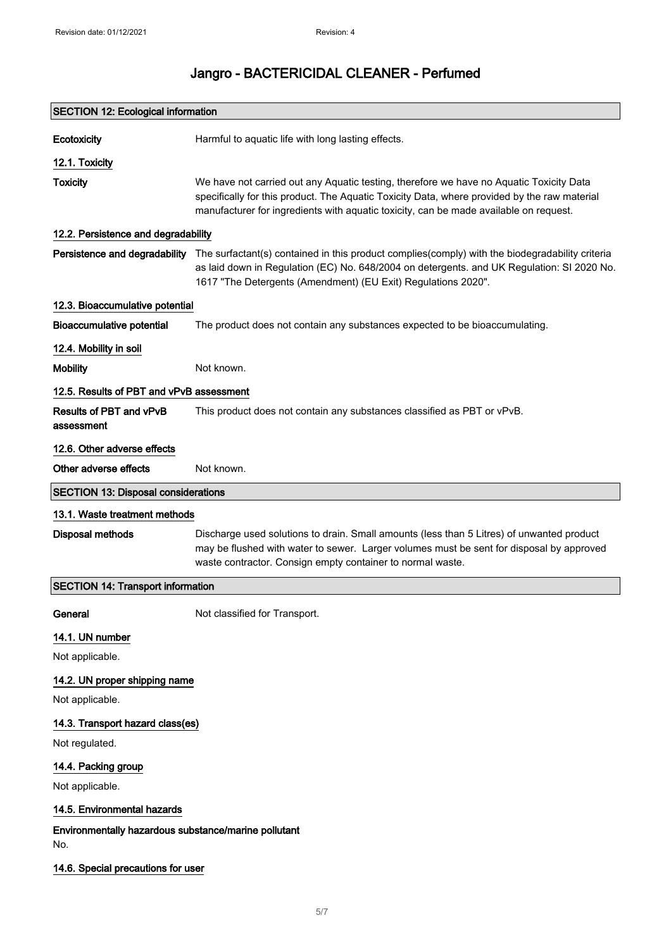| <b>SECTION 12: Ecological information</b>                   |                                                                                                                                                                                                                                                                                  |
|-------------------------------------------------------------|----------------------------------------------------------------------------------------------------------------------------------------------------------------------------------------------------------------------------------------------------------------------------------|
| Ecotoxicity                                                 | Harmful to aquatic life with long lasting effects.                                                                                                                                                                                                                               |
| 12.1. Toxicity                                              |                                                                                                                                                                                                                                                                                  |
| <b>Toxicity</b>                                             | We have not carried out any Aquatic testing, therefore we have no Aquatic Toxicity Data<br>specifically for this product. The Aquatic Toxicity Data, where provided by the raw material<br>manufacturer for ingredients with aquatic toxicity, can be made available on request. |
| 12.2. Persistence and degradability                         |                                                                                                                                                                                                                                                                                  |
| Persistence and degradability                               | The surfactant(s) contained in this product complies(comply) with the biodegradability criteria<br>as laid down in Regulation (EC) No. 648/2004 on detergents. and UK Regulation: SI 2020 No.<br>1617 "The Detergents (Amendment) (EU Exit) Regulations 2020".                   |
| 12.3. Bioaccumulative potential                             |                                                                                                                                                                                                                                                                                  |
| <b>Bioaccumulative potential</b>                            | The product does not contain any substances expected to be bioaccumulating.                                                                                                                                                                                                      |
| 12.4. Mobility in soil                                      |                                                                                                                                                                                                                                                                                  |
| <b>Mobility</b>                                             | Not known.                                                                                                                                                                                                                                                                       |
| 12.5. Results of PBT and vPvB assessment                    |                                                                                                                                                                                                                                                                                  |
| Results of PBT and vPvB<br>assessment                       | This product does not contain any substances classified as PBT or vPvB.                                                                                                                                                                                                          |
| 12.6. Other adverse effects                                 |                                                                                                                                                                                                                                                                                  |
| Other adverse effects                                       | Not known.                                                                                                                                                                                                                                                                       |
| <b>SECTION 13: Disposal considerations</b>                  |                                                                                                                                                                                                                                                                                  |
| 13.1. Waste treatment methods                               |                                                                                                                                                                                                                                                                                  |
| <b>Disposal methods</b>                                     | Discharge used solutions to drain. Small amounts (less than 5 Litres) of unwanted product<br>may be flushed with water to sewer. Larger volumes must be sent for disposal by approved<br>waste contractor. Consign empty container to normal waste.                              |
| <b>SECTION 14: Transport information</b>                    |                                                                                                                                                                                                                                                                                  |
| General                                                     | Not classified for Transport.                                                                                                                                                                                                                                                    |
| 14.1. UN number                                             |                                                                                                                                                                                                                                                                                  |
| Not applicable.                                             |                                                                                                                                                                                                                                                                                  |
| 14.2. UN proper shipping name                               |                                                                                                                                                                                                                                                                                  |
| Not applicable.                                             |                                                                                                                                                                                                                                                                                  |
| 14.3. Transport hazard class(es)                            |                                                                                                                                                                                                                                                                                  |
| Not regulated.                                              |                                                                                                                                                                                                                                                                                  |
| 14.4. Packing group<br>Not applicable.                      |                                                                                                                                                                                                                                                                                  |
| 14.5. Environmental hazards                                 |                                                                                                                                                                                                                                                                                  |
| Environmentally hazardous substance/marine pollutant<br>No. |                                                                                                                                                                                                                                                                                  |
| 14.6. Special precautions for user                          |                                                                                                                                                                                                                                                                                  |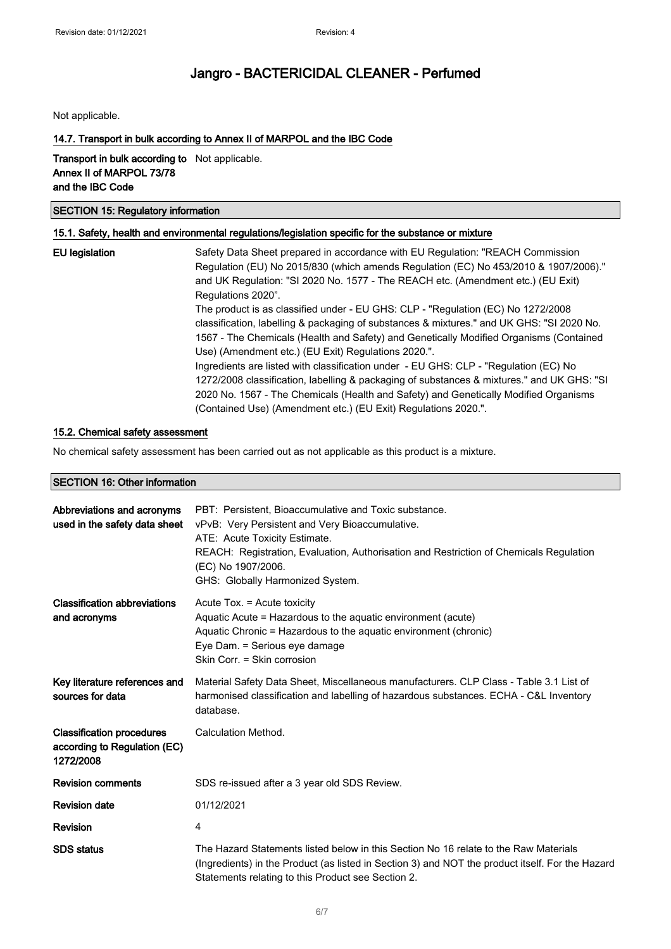Not applicable.

### 14.7. Transport in bulk according to Annex II of MARPOL and the IBC Code

Transport in bulk according to Not applicable. Annex II of MARPOL 73/78 and the IBC Code

### SECTION 15: Regulatory information

### 15.1. Safety, health and environmental regulations/legislation specific for the substance or mixture

| EU legislation | Safety Data Sheet prepared in accordance with EU Regulation: "REACH Commission<br>Regulation (EU) No 2015/830 (which amends Regulation (EC) No 453/2010 & 1907/2006)."<br>and UK Regulation: "SI 2020 No. 1577 - The REACH etc. (Amendment etc.) (EU Exit)<br>Regulations 2020".                                                             |
|----------------|----------------------------------------------------------------------------------------------------------------------------------------------------------------------------------------------------------------------------------------------------------------------------------------------------------------------------------------------|
|                | The product is as classified under - EU GHS: CLP - "Regulation (EC) No 1272/2008<br>classification, labelling & packaging of substances & mixtures." and UK GHS: "SI 2020 No.<br>1567 - The Chemicals (Health and Safety) and Genetically Modified Organisms (Contained<br>Use) (Amendment etc.) (EU Exit) Regulations 2020.".               |
|                | Ingredients are listed with classification under - EU GHS: CLP - "Regulation (EC) No<br>1272/2008 classification, labelling & packaging of substances & mixtures." and UK GHS: "SI<br>2020 No. 1567 - The Chemicals (Health and Safety) and Genetically Modified Organisms<br>(Contained Use) (Amendment etc.) (EU Exit) Regulations 2020.". |

#### 15.2. Chemical safety assessment

No chemical safety assessment has been carried out as not applicable as this product is a mixture.

### SECTION 16: Other information

| Abbreviations and acronyms<br>used in the safety data sheet                   | PBT: Persistent. Bioaccumulative and Toxic substance.<br>vPvB: Very Persistent and Very Bioaccumulative.<br>ATE: Acute Toxicity Estimate.<br>REACH: Registration, Evaluation, Authorisation and Restriction of Chemicals Regulation<br>(EC) No 1907/2006.<br>GHS: Globally Harmonized System. |
|-------------------------------------------------------------------------------|-----------------------------------------------------------------------------------------------------------------------------------------------------------------------------------------------------------------------------------------------------------------------------------------------|
| <b>Classification abbreviations</b><br>and acronyms                           | Acute Tox. = Acute toxicity<br>Aquatic Acute = Hazardous to the aquatic environment (acute)<br>Aquatic Chronic = Hazardous to the aquatic environment (chronic)<br>Eye Dam. = Serious eye damage<br>Skin Corr. = Skin corrosion                                                               |
| Key literature references and<br>sources for data                             | Material Safety Data Sheet, Miscellaneous manufacturers. CLP Class - Table 3.1 List of<br>harmonised classification and labelling of hazardous substances. ECHA - C&L Inventory<br>database.                                                                                                  |
| <b>Classification procedures</b><br>according to Regulation (EC)<br>1272/2008 | Calculation Method.                                                                                                                                                                                                                                                                           |
| <b>Revision comments</b>                                                      | SDS re-issued after a 3 year old SDS Review.                                                                                                                                                                                                                                                  |
| <b>Revision date</b>                                                          | 01/12/2021                                                                                                                                                                                                                                                                                    |
| Revision                                                                      | 4                                                                                                                                                                                                                                                                                             |
| <b>SDS</b> status                                                             | The Hazard Statements listed below in this Section No 16 relate to the Raw Materials<br>(Ingredients) in the Product (as listed in Section 3) and NOT the product itself. For the Hazard<br>Statements relating to this Product see Section 2.                                                |